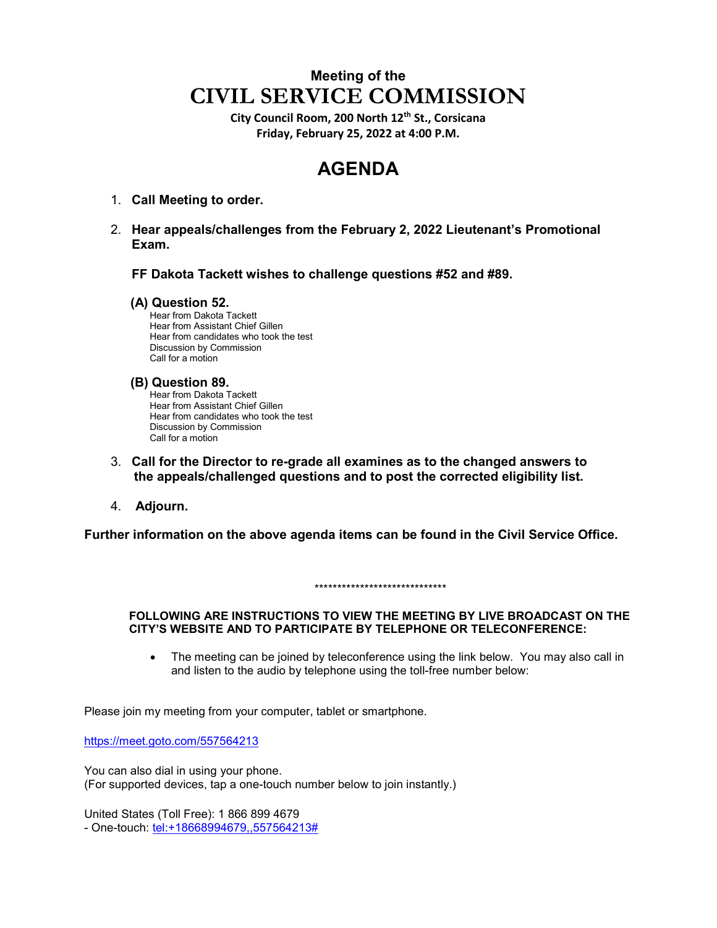## **Meeting of the CIVIL SERVICE COMMISSION**

**City Council Room, 200 North 12th St., Corsicana Friday, February 25, 2022 at 4:00 P.M.**

# **AGENDA**

- 1. **Call Meeting to order.**
- 2. **Hear appeals/challenges from the February 2, 2022 Lieutenant's Promotional Exam.**

**FF Dakota Tackett wishes to challenge questions #52 and #89.**

#### **(A) Question 52.**

 Hear from Dakota Tackett Hear from Assistant Chief Gillen Hear from candidates who took the test Discussion by Commission Call for a motion

### **(B) Question 89.**

 Hear from Dakota Tackett Hear from Assistant Chief Gillen Hear from candidates who took the test Discussion by Commission Call for a motion

- 3. **Call for the Director to re-grade all examines as to the changed answers to the appeals/challenged questions and to post the corrected eligibility list.**
- 4. **Adjourn.**

**Further information on the above agenda items can be found in the Civil Service Office.** 

\*\*\*\*\*\*\*\*\*\*\*\*\*\*\*\*\*\*\*\*\*\*\*\*\*\*\*\*\*

#### **FOLLOWING ARE INSTRUCTIONS TO VIEW THE MEETING BY LIVE BROADCAST ON THE CITY'S WEBSITE AND TO PARTICIPATE BY TELEPHONE OR TELECONFERENCE:**

• The meeting can be joined by teleconference using the link below. You may also call in and listen to the audio by telephone using the toll-free number below:

Please join my meeting from your computer, tablet or smartphone.

<https://meet.goto.com/557564213>

You can also dial in using your phone. (For supported devices, tap a one-touch number below to join instantly.)

United States (Toll Free): 1 866 899 4679 - One-touch: [tel:+18668994679,,557564213#](tel:+18668994679,,557564213)